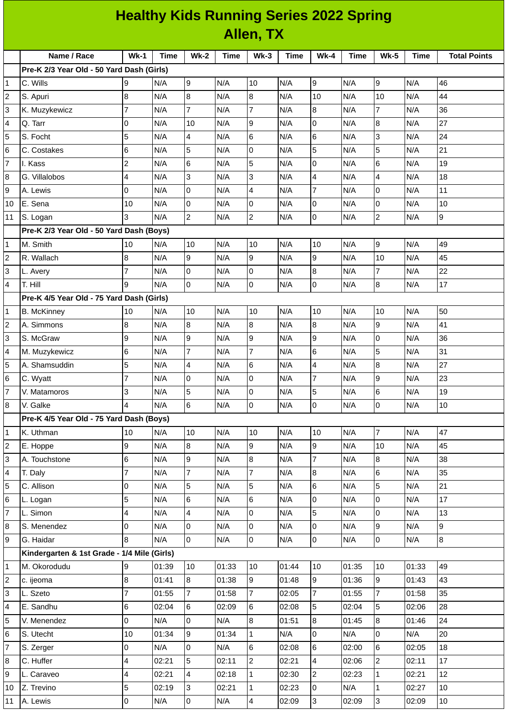| <b>Healthy Kids Running Series 2022 Spring</b> |                                             |                          |             |                |       |                |             |                 |             |                |             |                     |
|------------------------------------------------|---------------------------------------------|--------------------------|-------------|----------------|-------|----------------|-------------|-----------------|-------------|----------------|-------------|---------------------|
|                                                | Allen, TX                                   |                          |             |                |       |                |             |                 |             |                |             |                     |
|                                                | Name / Race                                 | $Wk-1$                   | <b>Time</b> | <b>Wk-2</b>    | Time  | $Wk-3$         | <b>Time</b> | $Wk-4$          | <b>Time</b> | <b>Wk-5</b>    | <b>Time</b> | <b>Total Points</b> |
|                                                | Pre-K 2/3 Year Old - 50 Yard Dash (Girls)   |                          |             |                |       |                |             |                 |             |                |             |                     |
| 1                                              | C. Wills                                    | 9                        | N/A         | l9             | N/A   | 10             | N/A         | 9               | N/A         | 9              | N/A         | 46                  |
| $\overline{c}$                                 | S. Apuri                                    | 8                        | N/A         | 8              | N/A   | 8              | N/A         | 10              | N/A         | 10             | N/A         | 44                  |
| 3                                              | K. Muzykewicz                               | $\overline{7}$           | N/A         | $\overline{7}$ | N/A   | $\overline{7}$ | N/A         | $\overline{8}$  | N/A         | $\overline{7}$ | N/A         | 36                  |
| 4                                              | Q. Tarr                                     | $\overline{0}$           | N/A         | 10             | N/A   | 9              | N/A         | $\overline{0}$  | N/A         | 8              | N/A         | 27                  |
| 5                                              | S. Focht                                    | 5                        | N/A         | 4              | N/A   | 6              | N/A         | $6\phantom{.}6$ | N/A         | 3              | N/A         | 24                  |
| 6                                              | C. Costakes                                 | 6                        | N/A         | 5              | N/A   | 0              | N/A         | 5               | N/A         | 5              | N/A         | 21                  |
| $\overline{7}$                                 | I. Kass                                     | $\overline{c}$           | N/A         | 6              | N/A   | 5              | N/A         | $\overline{0}$  | N/A         | 6              | N/A         | 19                  |
| 8                                              | G. Villalobos                               | $\overline{\mathcal{A}}$ | N/A         | 3              | N/A   | 3              | N/A         | $\overline{4}$  | N/A         | 4              | N/A         | 18                  |
| 9                                              | A. Lewis                                    | $\overline{0}$           | N/A         | 0              | N/A   | $\overline{4}$ | N/A         | $\overline{7}$  | N/A         | 0              | N/A         | 11                  |
| 10                                             | E. Sena                                     | 10                       | N/A         | 0              | N/A   | $\mathsf{O}$   | N/A         | $\mathsf 0$     | N/A         | 0              | N/A         | 10                  |
| 11                                             | S. Logan                                    | 3                        | N/A         | $\overline{c}$ | N/A   | $\overline{c}$ | N/A         | l0              | N/A         | $\mathbf{2}$   | N/A         | 9                   |
|                                                | Pre-K 2/3 Year Old - 50 Yard Dash (Boys)    |                          |             |                |       |                |             |                 |             |                |             |                     |
| $\mathbf{1}$                                   | M. Smith                                    | 10                       | N/A         | 10             | N/A   | 10             | N/A         | 10              | N/A         | 9              | N/A         | 49                  |
| $\overline{c}$                                 | R. Wallach                                  | 8                        | N/A         | 9              | N/A   | 9              | N/A         | 9               | N/A         | 10             | N/A         | 45                  |
| 3                                              | L. Avery                                    | $\overline{7}$           | N/A         | 0              | N/A   | 0              | N/A         | 8               | N/A         | $\overline{7}$ | N/A         | 22                  |
| 4                                              | T. Hill                                     | 9                        | N/A         | 0              | N/A   | l0             | N/A         | $\overline{0}$  | N/A         | 8              | N/A         | 17                  |
|                                                | Pre-K 4/5 Year Old - 75 Yard Dash (Girls)   |                          |             |                |       |                |             |                 |             |                |             |                     |
| $\mathbf{1}$                                   | <b>B.</b> McKinney                          | 10                       | N/A         | 10             | N/A   | 10             | N/A         | 10              | N/A         | 10             | N/A         | 50                  |
| $\overline{c}$                                 | A. Simmons                                  | 8                        | N/A         | 8              | N/A   | 8              | N/A         | 8               | N/A         | 9              | N/A         | 41                  |
| 3                                              | S. McGraw                                   | 9                        | N/A         | 9              | N/A   | 9              | N/A         | 9               | N/A         | 0              | N/A         | 36                  |
| 4                                              | M. Muzykewicz                               | 6                        | N/A         | $\overline{7}$ | N/A   | $\overline{7}$ | N/A         | 6               | N/A         | 5              | N/A         | 31                  |
| 5                                              | A. Shamsuddin                               | 5                        | N/A         | 4              | N/A   | 6              | N/A         | $\overline{4}$  | N/A         | 8              | N/A         | 27                  |
| 6                                              | C. Wyatt                                    | $\overline{7}$           | N/A         | 0              | N/A   | 0              | N/A         | 7               | N/A         | 9              | N/A         | 23                  |
| $\overline{7}$                                 | V. Matamoros                                | 3                        | N/A         | 5              | N/A   | O              | N/A         | 5               | N/A         | $\,$ 6         | N/A         | 19                  |
| 8                                              | V. Galke                                    | 4                        | N/A         | 6              | N/A   | $\overline{0}$ | N/A         | $\overline{0}$  | N/A         | 0              | N/A         | 10                  |
|                                                | Pre-K 4/5 Year Old - 75 Yard Dash (Boys)    |                          |             |                |       |                |             |                 |             |                |             |                     |
| $\mathbf{1}$                                   | K. Uthman                                   | 10                       | N/A         | 10             | N/A   | 10             | N/A         | 10              | N/A         | $\overline{7}$ | N/A         | 47                  |
| $\overline{c}$                                 | E. Hoppe                                    | 9                        | N/A         | 8              | N/A   | 9              | N/A         | 9               | N/A         | 10             | N/A         | 45                  |
| 3                                              | A. Touchstone                               | $6\phantom{a}$           | N/A         | 9              | N/A   | 8              | N/A         | $\overline{7}$  | N/A         | 8              | N/A         | 38                  |
| 4                                              | T. Daly                                     | $\overline{7}$           | N/A         | $\overline{7}$ | N/A   | $\overline{7}$ | N/A         | 8               | N/A         | 6              | N/A         | 35                  |
| 5                                              | C. Allison                                  | 0                        | N/A         | 5              | N/A   | 5              | N/A         | $\,6$           | N/A         | 5              | N/A         | 21                  |
| 6                                              | L. Logan                                    | 5                        | N/A         | 6              | N/A   | $6\phantom{a}$ | N/A         | l0              | N/A         | 0              | N/A         | 17                  |
| $\overline{7}$                                 | L. Simon                                    | $\overline{\mathcal{A}}$ | N/A         | 4              | N/A   | $\overline{0}$ | N/A         | 5               | N/A         | 0              | N/A         | 13                  |
| 8                                              | S. Menendez                                 | 0                        | N/A         | 0              | N/A   | $\overline{0}$ | N/A         | $\overline{0}$  | N/A         | 9              | N/A         | 9                   |
| 9                                              | G. Haidar                                   | 8                        | N/A         | 0              | N/A   | $\mathsf{O}$   | N/A         | l 0             | N/A         | 0              | N/A         | $8\,$               |
|                                                | Kindergarten & 1st Grade - 1/4 Mile (Girls) |                          |             |                |       |                |             |                 |             |                |             |                     |
| $\mathbf{1}$                                   | M. Okorodudu                                | 9                        | 01:39       | 10             | 01:33 | 10             | 01:44       | 10              | 01:35       | 10             | 01:33       | 49                  |
| $\overline{c}$                                 | c. ijeoma                                   | 8                        | 01:41       | 8              | 01:38 | 9              | 01:48       | 9               | 01:36       | 9              | 01:43       | 43                  |
| 3                                              | L. Szeto                                    | $\overline{7}$           | 01:55       | 7              | 01:58 | 7              | 02:05       | 7               | 01:55       | $\overline{7}$ | 01:58       | 35                  |
| 4                                              | E. Sandhu                                   | $\,6$                    | 02:04       | 6              | 02:09 | $6\phantom{.}$ | 02:08       | 5               | 02:04       | 5              | 02:06       | 28                  |
| 5                                              | V. Menendez                                 | 0                        | N/A         | 0              | N/A   | 8              | 01:51       | 8               | 01:45       | 8              | 01:46       | 24                  |
| 6                                              | S. Utecht                                   | 10                       | 01:34       | 9              | 01:34 | $\mathbf{1}$   | N/A         | $\overline{0}$  | N/A         | 0              | N/A         | 20                  |
| $\overline{7}$                                 | S. Zerger                                   | 0                        | N/A         | 0              | N/A   | $6\phantom{a}$ | 02:08       | $6\phantom{.}6$ | 02:00       | 6              | 02:05       | 18                  |
| 8                                              | C. Huffer                                   | $\overline{\mathcal{A}}$ | 02:21       | 5              | 02:11 | $\overline{2}$ | 02:21       | $\overline{4}$  | 02:06       | $\overline{c}$ | 02:11       | 17                  |
| 9                                              | L. Caraveo                                  | $\overline{\mathbf{4}}$  | 02:21       | 4              | 02:18 | $\mathbf{1}$   | 02:30       | $\overline{c}$  | 02:23       | $\mathbf{1}$   | 02:21       | 12                  |
| 10                                             | Z. Trevino                                  | 5                        | 02:19       | 3              | 02:21 | $\mathbf{1}$   | 02:23       | $\overline{0}$  | N/A         | $\mathbf{1}$   | 02:27       | 10                  |
| 11                                             | A. Lewis                                    | $\overline{0}$           | N/A         | $\mathsf{O}$   | N/A   | $\overline{4}$ | 02:09       | 3               | 02:09       | $\overline{3}$ | 02:09       | 10                  |
|                                                |                                             |                          |             |                |       |                |             |                 |             |                |             |                     |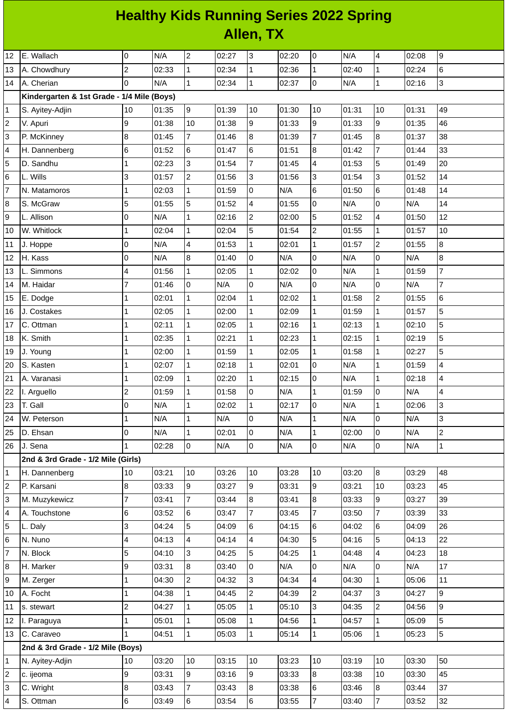## **Healthy Kids Running Series 2022 Spring Allen, TX**

| 12                      | E. Wallach                                 | 0              | N/A   | $\overline{c}$   | 02:27 | 3               | 02:20 | l0             | N/A   | 4              | 02:08 | 9              |
|-------------------------|--------------------------------------------|----------------|-------|------------------|-------|-----------------|-------|----------------|-------|----------------|-------|----------------|
| 13                      | A. Chowdhury                               | $\overline{c}$ | 02:33 | $\mathbf{1}$     | 02:34 | $\overline{1}$  | 02:36 | $\mathbf{1}$   | 02:40 | $\mathbf{1}$   | 02:24 | 6              |
| 14                      | A. Cherian                                 | $\Omega$       | N/A   | $\mathbf{1}$     | 02:34 | $\mathbf{1}$    | 02:37 | lo             | N/A   | 1              | 02:16 | 3              |
|                         | Kindergarten & 1st Grade - 1/4 Mile (Boys) |                |       |                  |       |                 |       |                |       |                |       |                |
| 1                       | S. Ayitey-Adjin                            | 10             | 01:35 | 9                | 01:39 | 10              | 01:30 | 10             | 01:31 | $10\,$         | 01:31 | 49             |
| $\overline{c}$          | V. Apuri                                   | 9              | 01:38 | 10               | 01:38 | 9               | 01:33 | g              | 01:33 | 9              | 01:35 | 46             |
| 3                       | P. McKinney                                | 8              | 01:45 | $\overline{7}$   | 01:46 | 8               | 01:39 | $\overline{7}$ | 01:45 | 8              | 01:37 | 38             |
| 4                       | H. Dannenberg                              | $\,6$          | 01:52 | 6                | 01:47 | $6\overline{6}$ | 01:51 | $\overline{8}$ | 01:42 | $\overline{7}$ | 01:44 | 33             |
| 5                       | D. Sandhu                                  | $\mathbf{1}$   | 02:23 | 3                | 01:54 | $\overline{7}$  | 01:45 | $\overline{4}$ | 01:53 | 5              | 01:49 | 20             |
| 6                       | L. Wills                                   | 3              | 01:57 | $\overline{c}$   | 01:56 | 3               | 01:56 | 3              | 01:54 | 3              | 01:52 | 14             |
| $\overline{7}$          | N. Matamoros                               | $\mathbf{1}$   | 02:03 | $\mathbf{1}$     | 01:59 | 0               | N/A   | $\,6$          | 01:50 | 6              | 01:48 | 14             |
| 8                       | S. McGraw                                  | 5              | 01:55 | 5                | 01:52 | $\overline{4}$  | 01:55 | lo             | N/A   | 0              | N/A   | 14             |
| 9                       | L. Allison                                 | 0              | N/A   | $\mathbf 1$      | 02:16 | $\overline{c}$  | 02:00 | 5              | 01:52 | 4              | 01:50 | 12             |
| 10                      | W. Whitlock                                | $\mathbf{1}$   | 02:04 | $\mathbf{1}$     | 02:04 | 5               | 01:54 | $\overline{c}$ | 01:55 | 1              | 01:57 | $10\,$         |
| 11                      | J. Hoppe                                   | 0              | N/A   | 4                | 01:53 | $\mathbf{1}$    | 02:01 | $\mathbf{1}$   | 01:57 | $\overline{c}$ | 01:55 | 8              |
| 12                      | H. Kass                                    | O              | N/A   | $\boldsymbol{8}$ | 01:40 | 0               | N/A   | l0             | N/A   | 0              | N/A   | 8              |
| 13                      | L. Simmons                                 | 4              | 01:56 | $\mathbf{1}$     | 02:05 | $\mathbf{1}$    | 02:02 | lo             | N/A   | $\mathbf 1$    | 01:59 | $\overline{7}$ |
| 14                      | M. Haidar                                  | 7              | 01:46 | l0               | N/A   | $\overline{0}$  | N/A   | $\mathsf{O}$   | N/A   | 0              | N/A   | 7              |
| 15                      | E. Dodge                                   | 1              | 02:01 | $\mathbf 1$      | 02:04 | $\mathbf{1}$    | 02:02 | $\mathbf 1$    | 01:58 | $\overline{c}$ | 01:55 | 6              |
| 16                      | J. Costakes                                | $\overline{1}$ | 02:05 | $\mathbf{1}$     | 02:00 | $\overline{1}$  | 02:09 | $\mathbf{1}$   | 01:59 | $\mathbf 1$    | 01:57 | 5              |
| 17                      | C. Ottman                                  | $\mathbf{1}$   | 02:11 | $\mathbf 1$      | 02:05 | $\mathbf{1}$    | 02:16 | $\overline{1}$ | 02:13 | $\mathbf{1}$   | 02:10 | 5              |
| 18                      | K. Smith                                   | $\mathbf{1}$   | 02:35 | $\mathbf 1$      | 02:21 | $\mathbf{1}$    | 02:23 | $\mathbf{1}$   | 02:15 | 1              | 02:19 | 5              |
| 19                      | J. Young                                   | 1              | 02:00 | $\mathbf{1}$     | 01:59 | $\mathbf{1}$    | 02:05 | $\mathbf{1}$   | 01:58 | $\mathbf 1$    | 02:27 | 5              |
| 20                      | S. Kasten                                  | $\mathbf{1}$   | 02:07 | $\mathbf 1$      | 02:18 | $\mathbf{1}$    | 02:01 | lo             | N/A   | $\mathbf 1$    | 01:59 | 4              |
| 21                      | A. Varanasi                                | $\mathbf{1}$   | 02:09 | $\mathbf{1}$     | 02:20 | $\mathbf{1}$    | 02:15 | lo             | N/A   | $\mathbf{1}$   | 02:18 | 4              |
| 22                      | I. Arguello                                | $\overline{c}$ | 01:59 | $\mathbf{1}$     | 01:58 | lo.             | N/A   | $\mathbf{1}$   | 01:59 | 0              | N/A   | 4              |
| 23                      | T. Gall                                    | 0              | N/A   | $\mathbf 1$      | 02:02 | $\mathbf{1}$    | 02:17 | $\mathsf 0$    | N/A   | 1              | 02:06 | 3              |
| 24                      | W. Peterson                                | $\overline{1}$ | N/A   | $\mathbf{1}$     | N/A   | O               | N/A   | $\mathbf{1}$   | N/A   | 0              | N/A   | 3              |
| 25                      | D. Ehsan                                   | 0              | N/A   | $\mathbf{1}$     | 02:01 | $\overline{0}$  | N/A   | $\mathbf{1}$   | 02:00 | $\overline{0}$ | N/A   | $\overline{c}$ |
| 26                      | J. Sena                                    | $\mathbf{1}$   | 02:28 | l0               | N/A   | $\overline{0}$  | N/A   | lo             | N/A   | 0              | N/A   | $\mathbf 1$    |
|                         | 2nd & 3rd Grade - 1/2 Mile (Girls)         |                |       |                  |       |                 |       |                |       |                |       |                |
| 1                       | H. Dannenberg                              | 10             | 03:21 | 10               | 03:26 | 10              | 03:28 | 10             | 03:20 | 8              | 03:29 | 48             |
| 2                       | P. Karsani                                 | 8              | 03:33 | g                | 03:27 | 9               | 03:31 | g              | 03:21 | 10             | 03:23 | 45             |
| 3                       | M. Muzykewicz                              | 7              | 03:41 | $\overline{7}$   | 03:44 | 8               | 03:41 | 8              | 03:33 | 9              | 03:27 | 39             |
| 4                       | A. Touchstone                              | 6              | 03:52 | 6                | 03:47 | $\overline{7}$  | 03:45 | $\overline{7}$ | 03:50 | $\overline{7}$ | 03:39 | 33             |
| 5                       | L. Daly                                    | 3              | 04:24 | 5                | 04:09 | $6\phantom{a}$  | 04:15 | 6              | 04:02 | 6              | 04:09 | 26             |
| 6                       | N. Nuno                                    | 4              | 04:13 | 4                | 04:14 | $\overline{4}$  | 04:30 | 5              | 04:16 | 5              | 04:13 | 22             |
| $\overline{7}$          | N. Block                                   | 5              | 04:10 | 3                | 04:25 | 5               | 04:25 | $\mathbf{1}$   | 04:48 | 4              | 04:23 | 18             |
| 8                       | H. Marker                                  | 9              | 03:31 | $\overline{8}$   | 03:40 | $\overline{0}$  | N/A   | $\mathsf{O}$   | N/A   | 0              | N/A   | 17             |
| 9                       | M. Zerger                                  | $\mathbf{1}$   | 04:30 | $\overline{c}$   | 04:32 | 3               | 04:34 | $\overline{4}$ | 04:30 | $\mathbf 1$    | 05:06 | 11             |
| 10                      | A. Focht                                   | $\mathbf 1$    | 04:38 | $\mathbf{1}$     | 04:45 | $\overline{2}$  | 04:39 | $\overline{c}$ | 04:37 | 3              | 04:27 | 9              |
| 11                      | s. stewart                                 | $\overline{c}$ | 04:27 | $\mathbf{1}$     | 05:05 | $\mathbf{1}$    | 05:10 | 3              | 04:35 | 2              | 04:56 | 9              |
| 12                      | I. Paraguya                                | $\mathbf{1}$   | 05:01 | 1                | 05:08 | $\mathbf{1}$    | 04:56 | $\mathbf 1$    | 04:57 | 1              | 05:09 | 5              |
| 13                      | C. Caraveo                                 | $\mathbf{1}$   | 04:51 | $\mathbf{1}$     | 05:03 | $\mathbf{1}$    | 05:14 | $\overline{1}$ | 05:06 | $\mathbf 1$    | 05:23 | 5              |
|                         | 2nd & 3rd Grade - 1/2 Mile (Boys)          |                |       |                  |       |                 |       |                |       |                |       |                |
| 1                       | N. Ayitey-Adjin                            | 10             | 03:20 | 10               | 03:15 | 10              | 03:23 | 10             | 03:19 | 10             | 03:30 | 50             |
| $\overline{\mathbf{c}}$ | c. ijeoma                                  | 9              | 03:31 | 9                | 03:16 | 9               | 03:33 | $\overline{8}$ | 03:38 | 10             | 03:30 | 45             |
| 3                       | C. Wright                                  | $\, 8$         | 03:43 | $\overline{7}$   | 03:43 | 8               | 03:38 | 6              | 03:46 | 8              | 03:44 | 37             |
| 4                       | S. Ottman                                  | $\,6$          | 03:49 | 6                | 03:54 | $6\overline{6}$ | 03:55 | $\overline{7}$ | 03:40 | $\overline{7}$ | 03:52 | 32             |
|                         |                                            |                |       |                  |       |                 |       |                |       |                |       |                |